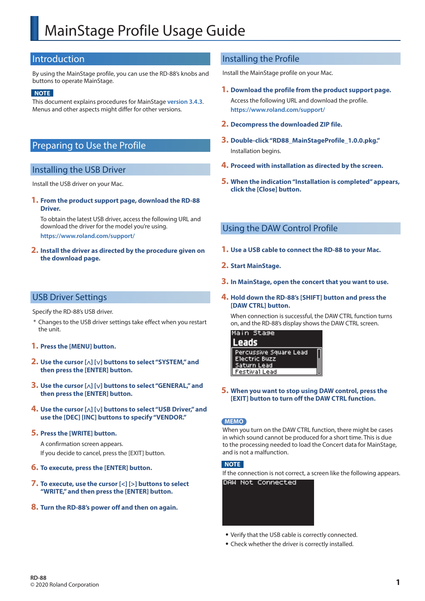# MainStage Profile Usage Guide

# Introduction

By using the MainStage profile, you can use the RD-88's knobs and buttons to operate MainStage.

#### **NOTE**

This document explains procedures for MainStage **version 3.4.3**. Menus and other aspects might differ for other versions.

# Preparing to Use the Profile

### Installing the USB Driver

Install the USB driver on your Mac.

**1. From the product support page, download the RD-88 Driver.**

To obtain the latest USB driver, access the following URL and download the driver for the model you're using. **https://www.roland.com/support/**

**2. Install the driver as directed by the procedure given on the download page.**

# Installing the Profile

Install the MainStage profile on your Mac.

- **1. Download the profile from the product support page.**
	- Access the following URL and download the profile. **https://www.roland.com/support/**
- **2. Decompress the downloaded ZIP file.**
- **3. Double-click "RD88\_MainStageProfile\_1.0.0.pkg."** Installation begins.
- **4. Proceed with installation as directed by the screen.**
- **5. When the indication "Installation is completed" appears, click the [Close] button.**

# Using the DAW Control Profile

- **1. Use a USB cable to connect the RD-88 to your Mac.**
- **2. Start MainStage.**
- **3. In MainStage, open the concert that you want to use.**

#### **4. Hold down the RD-88's [SHIFT] button and press the [DAW CTRL] button.**

When connection is successful, the DAW CTRL function turns on, and the RD-88's display shows the DAW CTRL screen.



**5. When you want to stop using DAW control, press the [EXIT] button to turn off the DAW CTRL function.**

#### **MEMO**

When you turn on the DAW CTRL function, there might be cases in which sound cannot be produced for a short time. This is due to the processing needed to load the Concert data for MainStage, and is not a malfunction.

#### **NOTE**

If the connection is not correct, a screen like the following appears. DAW Not Connected



- Verify that the USB cable is correctly connected.
- Check whether the driver is correctly installed.

# USB Driver Settings

Specify the RD-88's USB driver.

\* Changes to the USB driver settings take effect when you restart the unit.

#### **1. Press the [MENU] button.**

- **2. Use the cursor [ ] [ ] buttons to select "SYSTEM," and then press the [ENTER] button.**
- **3. Use the cursor [ ] [ ] buttons to select "GENERAL," and then press the [ENTER] button.**
- **4. Use the cursor [ ] [ ] buttons to select "USB Driver," and use the [DEC] [INC] buttons to specify "VENDOR."**

#### **5. Press the [WRITE] button.**

A confirmation screen appears. If you decide to cancel, press the [EXIT] button.

- **6. To execute, press the [ENTER] button.**
- **7. To execute, use the cursor [<] [>] buttons to select "WRITE," and then press the [ENTER] button.**
- **8. Turn the RD-88's power off and then on again.**